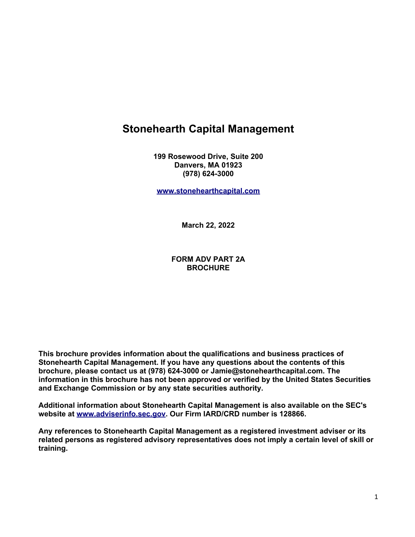## **Stonehearth Capital Management**

**199 Rosewood Drive, Suite 200 Danvers, MA 01923 (978) 624-3000**

**[www.stonehearthcapital.com](http://www.stonehearthcapital.com/)**

**March 22, 2022**

**FORM ADV PART 2A BROCHURE**

**This brochure provides information about the qualifications and business practices of Stonehearth Capital Management. If you have any questions about the contents of this brochure, please contact us at (978) 624-3000 or Jamie@stonehearthcapital.com. The information in this brochure has not been approved or verified by the United States Securities and Exchange Commission or by any state securities authority.**

**Additional information about Stonehearth Capital Management is also available on the SEC's website at [www.adviserinfo.sec.gov.](http://www.adviserinfo.sec.gov/) Our Firm IARD/CRD number is 128866.**

**Any references to Stonehearth Capital Management as a registered investment adviser or its related persons as registered advisory representatives does not imply a certain level of skill or training.**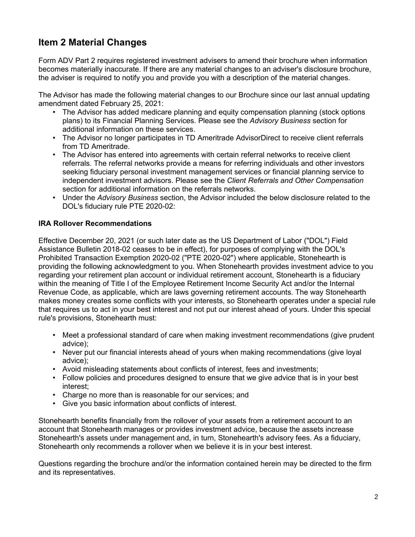## **Item 2 Material Changes**

Form ADV Part 2 requires registered investment advisers to amend their brochure when information becomes materially inaccurate. If there are any material changes to an adviser's disclosure brochure, the adviser is required to notify you and provide you with a description of the material changes.

The Advisor has made the following material changes to our Brochure since our last annual updating amendment dated February 25, 2021:

- The Advisor has added medicare planning and equity compensation planning (stock options plans) to its Financial Planning Services. Please see the *Advisory Business* section for additional information on these services.
- The Advisor no longer participates in TD Ameritrade AdvisorDirect to receive client referrals from TD Ameritrade.
- The Advisor has entered into agreements with certain referral networks to receive client referrals. The referral networks provide a means for referring individuals and other investors seeking fiduciary personal investment management services or financial planning service to independent investment advisors. Please see the *Client Referrals and Other Compensation* section for additional information on the referrals networks.
- Under the *Advisory Business* section, the Advisor included the below disclosure related to the DOL's fiduciary rule PTE 2020-02:

### **IRA Rollover Recommendations**

Effective December 20, 2021 (or such later date as the US Department of Labor ("DOL") Field Assistance Bulletin 2018-02 ceases to be in effect), for purposes of complying with the DOL's Prohibited Transaction Exemption 2020-02 ("PTE 2020-02") where applicable, Stonehearth is providing the following acknowledgment to you. When Stonehearth provides investment advice to you regarding your retirement plan account or individual retirement account, Stonehearth is a fiduciary within the meaning of Title I of the Employee Retirement Income Security Act and/or the Internal Revenue Code, as applicable, which are laws governing retirement accounts. The way Stonehearth makes money creates some conflicts with your interests, so Stonehearth operates under a special rule that requires us to act in your best interest and not put our interest ahead of yours. Under this special rule's provisions, Stonehearth must:

- Meet a professional standard of care when making investment recommendations (give prudent advice);
- Never put our financial interests ahead of yours when making recommendations (give loyal advice);
- Avoid misleading statements about conflicts of interest, fees and investments;
- Follow policies and procedures designed to ensure that we give advice that is in your best interest;
- Charge no more than is reasonable for our services; and
- Give you basic information about conflicts of interest.

Stonehearth benefits financially from the rollover of your assets from a retirement account to an account that Stonehearth manages or provides investment advice, because the assets increase Stonehearth's assets under management and, in turn, Stonehearth's advisory fees. As a fiduciary, Stonehearth only recommends a rollover when we believe it is in your best interest.

Questions regarding the brochure and/or the information contained herein may be directed to the firm and its representatives.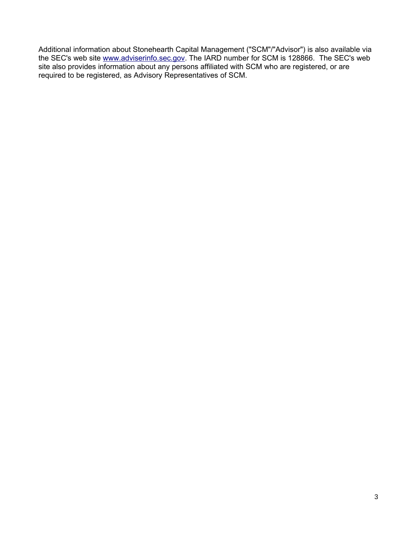Additional information about Stonehearth Capital Management ("SCM"/"Advisor") is also available via the SEC's web site [www.adviserinfo.sec.gov.](http://www.adviserinfo.sec.gov/) The IARD number for SCM is 128866. The SEC's web site also provides information about any persons affiliated with SCM who are registered, or are required to be registered, as Advisory Representatives of SCM.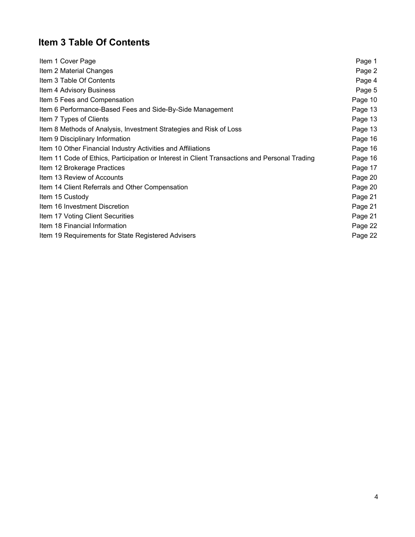# **Item 3 Table Of Contents**

| Item 1 Cover Page                                                                             | Page 1  |
|-----------------------------------------------------------------------------------------------|---------|
| Item 2 Material Changes                                                                       | Page 2  |
| Item 3 Table Of Contents                                                                      | Page 4  |
| Item 4 Advisory Business                                                                      | Page 5  |
| Item 5 Fees and Compensation                                                                  | Page 10 |
| Item 6 Performance-Based Fees and Side-By-Side Management                                     | Page 13 |
| Item 7 Types of Clients                                                                       | Page 13 |
| Item 8 Methods of Analysis, Investment Strategies and Risk of Loss                            | Page 13 |
| Item 9 Disciplinary Information                                                               | Page 16 |
| Item 10 Other Financial Industry Activities and Affiliations                                  | Page 16 |
| Item 11 Code of Ethics, Participation or Interest in Client Transactions and Personal Trading | Page 16 |
| Item 12 Brokerage Practices                                                                   | Page 17 |
| Item 13 Review of Accounts                                                                    | Page 20 |
| Item 14 Client Referrals and Other Compensation                                               | Page 20 |
| Item 15 Custody                                                                               | Page 21 |
| Item 16 Investment Discretion                                                                 | Page 21 |
| Item 17 Voting Client Securities                                                              | Page 21 |
| Item 18 Financial Information                                                                 | Page 22 |
| Item 19 Requirements for State Registered Advisers                                            | Page 22 |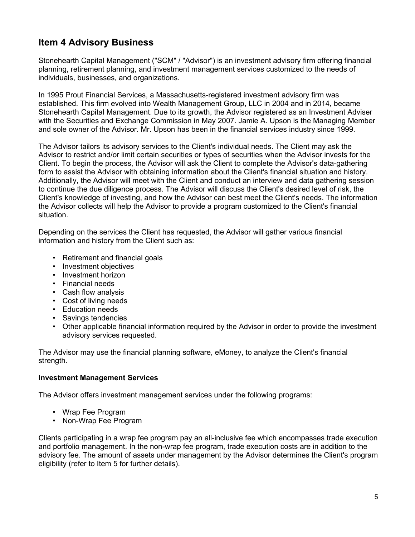## **Item 4 Advisory Business**

Stonehearth Capital Management ("SCM" / "Advisor") is an investment advisory firm offering financial planning, retirement planning, and investment management services customized to the needs of individuals, businesses, and organizations.

In 1995 Prout Financial Services, a Massachusetts-registered investment advisory firm was established. This firm evolved into Wealth Management Group, LLC in 2004 and in 2014, became Stonehearth Capital Management. Due to its growth, the Advisor registered as an Investment Adviser with the Securities and Exchange Commission in May 2007. Jamie A. Upson is the Managing Member and sole owner of the Advisor. Mr. Upson has been in the financial services industry since 1999.

The Advisor tailors its advisory services to the Client's individual needs. The Client may ask the Advisor to restrict and/or limit certain securities or types of securities when the Advisor invests for the Client. To begin the process, the Advisor will ask the Client to complete the Advisor's data-gathering form to assist the Advisor with obtaining information about the Client's financial situation and history. Additionally, the Advisor will meet with the Client and conduct an interview and data gathering session to continue the due diligence process. The Advisor will discuss the Client's desired level of risk, the Client's knowledge of investing, and how the Advisor can best meet the Client's needs. The information the Advisor collects will help the Advisor to provide a program customized to the Client's financial situation.

Depending on the services the Client has requested, the Advisor will gather various financial information and history from the Client such as:

- Retirement and financial goals
- Investment objectives
- Investment horizon
- Financial needs
- Cash flow analysis
- Cost of living needs
- Education needs
- Savings tendencies
- Other applicable financial information required by the Advisor in order to provide the investment advisory services requested.

The Advisor may use the financial planning software, eMoney, to analyze the Client's financial strength.

### **Investment Management Services**

The Advisor offers investment management services under the following programs:

- Wrap Fee Program
- Non-Wrap Fee Program

Clients participating in a wrap fee program pay an all-inclusive fee which encompasses trade execution and portfolio management. In the non-wrap fee program, trade execution costs are in addition to the advisory fee. The amount of assets under management by the Advisor determines the Client's program eligibility (refer to Item 5 for further details).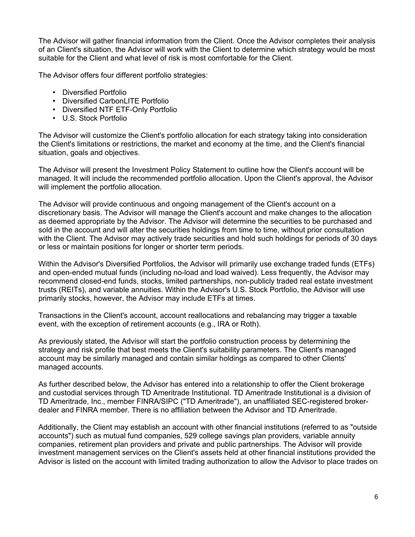The Advisor will gather financial information from the Client. Once the Advisor completes their analysis of an Client's situation, the Advisor will work with the Client to determine which strategy would be most suitable for the Client and what level of risk is most comfortable for the Client.

The Advisor offers four different portfolio strategies:

- Diversified Portfolio
- Diversified CarbonLITE Portfolio
- Diversified NTF ETF-Only Portfolio
- U.S. Stock Portfolio

The Advisor will customize the Client's portfolio allocation for each strategy taking into consideration the Client's limitations or restrictions, the market and economy at the time, and the Client's financial situation, goals and objectives.

The Advisor will present the Investment Policy Statement to outline how the Client's account will be managed. It will include the recommended portfolio allocation. Upon the Client's approval, the Advisor will implement the portfolio allocation.

The Advisor will provide continuous and ongoing management of the Client's account on a discretionary basis. The Advisor will manage the Client's account and make changes to the allocation as deemed appropriate by the Advisor. The Advisor will determine the securities to be purchased and sold in the account and will alter the securities holdings from time to time, without prior consultation with the Client. The Advisor may actively trade securities and hold such holdings for periods of 30 days or less or maintain positions for longer or shorter term periods.

Within the Advisor's Diversified Portfolios, the Advisor will primarily use exchange traded funds (ETFs) and open-ended mutual funds (including no-load and load waived). Less frequently, the Advisor may recommend closed-end funds, stocks, limited partnerships, non-publicly traded real estate investment trusts (REITs), and variable annuities. Within the Advisor's U.S. Stock Portfolio, the Advisor will use primarily stocks, however, the Advisor may include ETFs at times.

Transactions in the Client's account, account reallocations and rebalancing may trigger a taxable event, with the exception of retirement accounts (e.g., IRA or Roth).

As previously stated, the Advisor will start the portfolio construction process by determining the strategy and risk profile that best meets the Client's suitability parameters. The Client's managed account may be similarly managed and contain similar holdings as compared to other Clients' managed accounts.

As further described below, the Advisor has entered into a relationship to offer the Client brokerage and custodial services through TD Ameritrade Institutional. TD Ameritrade Institutional is a division of TD Ameritrade, Inc., member FINRA/SIPC ("TD Ameritrade"), an unaffiliated SEC-registered brokerdealer and FINRA member. There is no affiliation between the Advisor and TD Ameritrade.

Additionally, the Client may establish an account with other financial institutions (referred to as "outside accounts") such as mutual fund companies, 529 college savings plan providers, variable annuity companies, retirement plan providers and private and public partnerships. The Advisor will provide investment management services on the Client's assets held at other financial institutions provided the Advisor is listed on the account with limited trading authorization to allow the Advisor to place trades on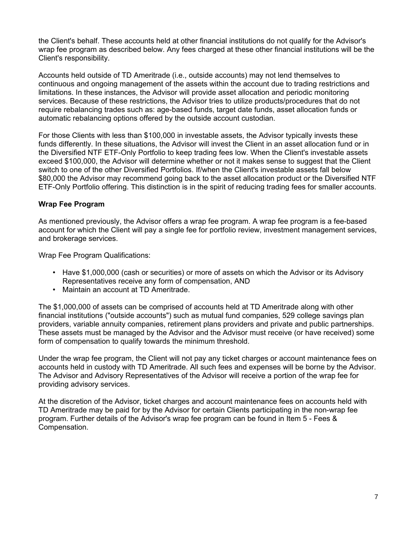the Client's behalf. These accounts held at other financial institutions do not qualify for the Advisor's wrap fee program as described below. Any fees charged at these other financial institutions will be the Client's responsibility.

Accounts held outside of TD Ameritrade (i.e., outside accounts) may not lend themselves to continuous and ongoing management of the assets within the account due to trading restrictions and limitations. In these instances, the Advisor will provide asset allocation and periodic monitoring services. Because of these restrictions, the Advisor tries to utilize products/procedures that do not require rebalancing trades such as: age-based funds, target date funds, asset allocation funds or automatic rebalancing options offered by the outside account custodian.

For those Clients with less than \$100,000 in investable assets, the Advisor typically invests these funds differently. In these situations, the Advisor will invest the Client in an asset allocation fund or in the Diversified NTF ETF-Only Portfolio to keep trading fees low. When the Client's investable assets exceed \$100,000, the Advisor will determine whether or not it makes sense to suggest that the Client switch to one of the other Diversified Portfolios. If/when the Client's investable assets fall below \$80,000 the Advisor may recommend going back to the asset allocation product or the Diversified NTF ETF-Only Portfolio offering. This distinction is in the spirit of reducing trading fees for smaller accounts.

### **Wrap Fee Program**

As mentioned previously, the Advisor offers a wrap fee program. A wrap fee program is a fee-based account for which the Client will pay a single fee for portfolio review, investment management services, and brokerage services.

Wrap Fee Program Qualifications:

- Have \$1,000,000 (cash or securities) or more of assets on which the Advisor or its Advisory Representatives receive any form of compensation, AND
- Maintain an account at TD Ameritrade.

The \$1,000,000 of assets can be comprised of accounts held at TD Ameritrade along with other financial institutions ("outside accounts") such as mutual fund companies, 529 college savings plan providers, variable annuity companies, retirement plans providers and private and public partnerships. These assets must be managed by the Advisor and the Advisor must receive (or have received) some form of compensation to qualify towards the minimum threshold.

Under the wrap fee program, the Client will not pay any ticket charges or account maintenance fees on accounts held in custody with TD Ameritrade. All such fees and expenses will be borne by the Advisor. The Advisor and Advisory Representatives of the Advisor will receive a portion of the wrap fee for providing advisory services.

At the discretion of the Advisor, ticket charges and account maintenance fees on accounts held with TD Ameritrade may be paid for by the Advisor for certain Clients participating in the non-wrap fee program. Further details of the Advisor's wrap fee program can be found in Item 5 - Fees & Compensation.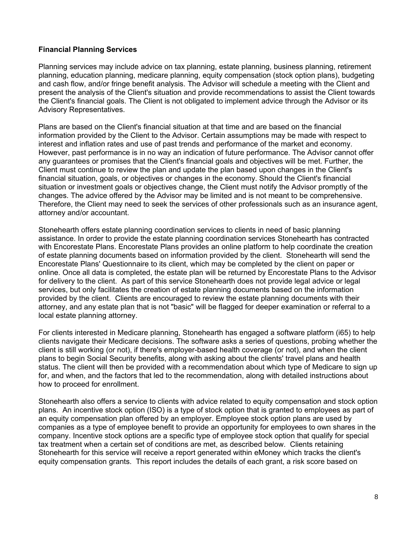### **Financial Planning Services**

Planning services may include advice on tax planning, estate planning, business planning, retirement planning, education planning, medicare planning, equity compensation (stock option plans), budgeting and cash flow, and/or fringe benefit analysis. The Advisor will schedule a meeting with the Client and present the analysis of the Client's situation and provide recommendations to assist the Client towards the Client's financial goals. The Client is not obligated to implement advice through the Advisor or its Advisory Representatives.

Plans are based on the Client's financial situation at that time and are based on the financial information provided by the Client to the Advisor. Certain assumptions may be made with respect to interest and inflation rates and use of past trends and performance of the market and economy. However, past performance is in no way an indication of future performance. The Advisor cannot offer any guarantees or promises that the Client's financial goals and objectives will be met. Further, the Client must continue to review the plan and update the plan based upon changes in the Client's financial situation, goals, or objectives or changes in the economy. Should the Client's financial situation or investment goals or objectives change, the Client must notify the Advisor promptly of the changes. The advice offered by the Advisor may be limited and is not meant to be comprehensive. Therefore, the Client may need to seek the services of other professionals such as an insurance agent, attorney and/or accountant.

Stonehearth offers estate planning coordination services to clients in need of basic planning assistance. In order to provide the estate planning coordination services Stonehearth has contracted with Encorestate Plans. Encorestate Plans provides an online platform to help coordinate the creation of estate planning documents based on information provided by the client. Stonehearth will send the Encorestate Plans' Questionnaire to its client, which may be completed by the client on paper or online. Once all data is completed, the estate plan will be returned by Encorestate Plans to the Advisor for delivery to the client. As part of this service Stonehearth does not provide legal advice or legal services, but only facilitates the creation of estate planning documents based on the information provided by the client. Clients are encouraged to review the estate planning documents with their attorney, and any estate plan that is not "basic" will be flagged for deeper examination or referral to a local estate planning attorney.

For clients interested in Medicare planning, Stonehearth has engaged a software platform (i65) to help clients navigate their Medicare decisions. The software asks a series of questions, probing whether the client is still working (or not), if there's employer-based health coverage (or not), and when the client plans to begin Social Security benefits, along with asking about the clients' travel plans and health status. The client will then be provided with a recommendation about which type of Medicare to sign up for, and when, and the factors that led to the recommendation, along with detailed instructions about how to proceed for enrollment.

Stonehearth also offers a service to clients with advice related to equity compensation and stock option plans. An incentive stock option (ISO) is a type of stock option that is granted to employees as part of an equity compensation plan offered by an employer. Employee stock option plans are used by companies as a type of employee benefit to provide an opportunity for employees to own shares in the company. Incentive stock options are a specific type of employee stock option that qualify for special tax treatment when a certain set of conditions are met, as described below. Clients retaining Stonehearth for this service will receive a report generated within eMoney which tracks the client's equity compensation grants. This report includes the details of each grant, a risk score based on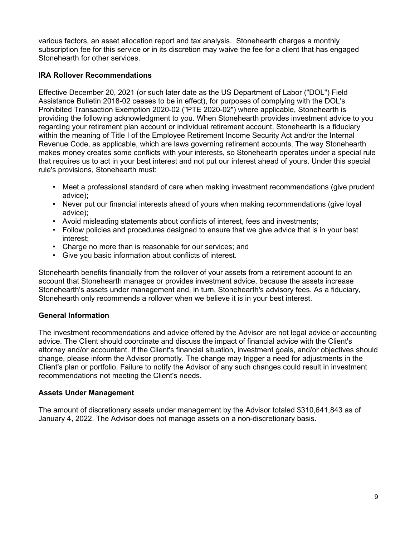various factors, an asset allocation report and tax analysis. Stonehearth charges a monthly subscription fee for this service or in its discretion may waive the fee for a client that has engaged Stonehearth for other services.

### **IRA Rollover Recommendations**

Effective December 20, 2021 (or such later date as the US Department of Labor ("DOL") Field Assistance Bulletin 2018-02 ceases to be in effect), for purposes of complying with the DOL's Prohibited Transaction Exemption 2020-02 ("PTE 2020-02") where applicable, Stonehearth is providing the following acknowledgment to you. When Stonehearth provides investment advice to you regarding your retirement plan account or individual retirement account, Stonehearth is a fiduciary within the meaning of Title I of the Employee Retirement Income Security Act and/or the Internal Revenue Code, as applicable, which are laws governing retirement accounts. The way Stonehearth makes money creates some conflicts with your interests, so Stonehearth operates under a special rule that requires us to act in your best interest and not put our interest ahead of yours. Under this special rule's provisions, Stonehearth must:

- Meet a professional standard of care when making investment recommendations (give prudent advice);
- Never put our financial interests ahead of yours when making recommendations (give loyal advice);
- Avoid misleading statements about conflicts of interest, fees and investments;
- Follow policies and procedures designed to ensure that we give advice that is in your best interest;
- Charge no more than is reasonable for our services; and
- Give you basic information about conflicts of interest.

Stonehearth benefits financially from the rollover of your assets from a retirement account to an account that Stonehearth manages or provides investment advice, because the assets increase Stonehearth's assets under management and, in turn, Stonehearth's advisory fees. As a fiduciary, Stonehearth only recommends a rollover when we believe it is in your best interest.

### **General Information**

The investment recommendations and advice offered by the Advisor are not legal advice or accounting advice. The Client should coordinate and discuss the impact of financial advice with the Client's attorney and/or accountant. If the Client's financial situation, investment goals, and/or objectives should change, please inform the Advisor promptly. The change may trigger a need for adjustments in the Client's plan or portfolio. Failure to notify the Advisor of any such changes could result in investment recommendations not meeting the Client's needs.

### **Assets Under Management**

The amount of discretionary assets under management by the Advisor totaled \$310,641,843 as of January 4, 2022. The Advisor does not manage assets on a non-discretionary basis.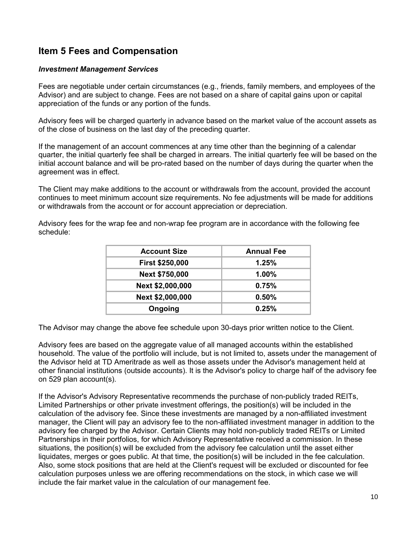## **Item 5 Fees and Compensation**

### *Investment Management Services*

Fees are negotiable under certain circumstances (e.g., friends, family members, and employees of the Advisor) and are subject to change. Fees are not based on a share of capital gains upon or capital appreciation of the funds or any portion of the funds.

Advisory fees will be charged quarterly in advance based on the market value of the account assets as of the close of business on the last day of the preceding quarter.

If the management of an account commences at any time other than the beginning of a calendar quarter, the initial quarterly fee shall be charged in arrears. The initial quarterly fee will be based on the initial account balance and will be pro-rated based on the number of days during the quarter when the agreement was in effect.

The Client may make additions to the account or withdrawals from the account, provided the account continues to meet minimum account size requirements. No fee adjustments will be made for additions or withdrawals from the account or for account appreciation or depreciation.

| <b>Account Size</b>    | <b>Annual Fee</b> |
|------------------------|-------------------|
| <b>First \$250,000</b> | 1.25%             |
| Next \$750,000         | $1.00\%$          |
| Next \$2,000,000       | 0.75%             |
| Next \$2,000,000       | 0.50%             |
| Ongoing                | 0.25%             |

Advisory fees for the wrap fee and non-wrap fee program are in accordance with the following fee schedule:

The Advisor may change the above fee schedule upon 30-days prior written notice to the Client.

Advisory fees are based on the aggregate value of all managed accounts within the established household. The value of the portfolio will include, but is not limited to, assets under the management of the Advisor held at TD Ameritrade as well as those assets under the Advisor's management held at other financial institutions (outside accounts). It is the Advisor's policy to charge half of the advisory fee on 529 plan account(s).

If the Advisor's Advisory Representative recommends the purchase of non-publicly traded REITs, Limited Partnerships or other private investment offerings, the position(s) will be included in the calculation of the advisory fee. Since these investments are managed by a non-affiliated investment manager, the Client will pay an advisory fee to the non-affiliated investment manager in addition to the advisory fee charged by the Advisor. Certain Clients may hold non-publicly traded REITs or Limited Partnerships in their portfolios, for which Advisory Representative received a commission. In these situations, the position(s) will be excluded from the advisory fee calculation until the asset either liquidates, merges or goes public. At that time, the position(s) will be included in the fee calculation. Also, some stock positions that are held at the Client's request will be excluded or discounted for fee calculation purposes unless we are offering recommendations on the stock, in which case we will include the fair market value in the calculation of our management fee.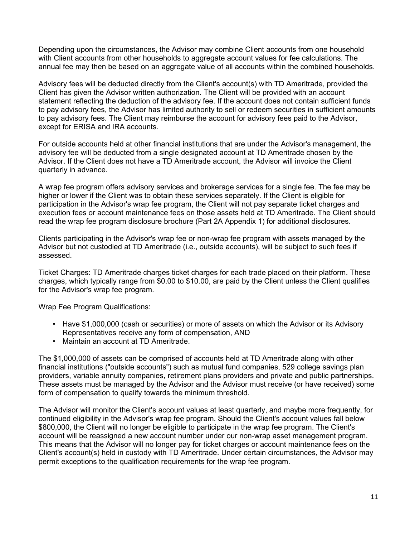Depending upon the circumstances, the Advisor may combine Client accounts from one household with Client accounts from other households to aggregate account values for fee calculations. The annual fee may then be based on an aggregate value of all accounts within the combined households.

Advisory fees will be deducted directly from the Client's account(s) with TD Ameritrade, provided the Client has given the Advisor written authorization. The Client will be provided with an account statement reflecting the deduction of the advisory fee. If the account does not contain sufficient funds to pay advisory fees, the Advisor has limited authority to sell or redeem securities in sufficient amounts to pay advisory fees. The Client may reimburse the account for advisory fees paid to the Advisor, except for ERISA and IRA accounts.

For outside accounts held at other financial institutions that are under the Advisor's management, the advisory fee will be deducted from a single designated account at TD Ameritrade chosen by the Advisor. If the Client does not have a TD Ameritrade account, the Advisor will invoice the Client quarterly in advance.

A wrap fee program offers advisory services and brokerage services for a single fee. The fee may be higher or lower if the Client was to obtain these services separately. If the Client is eligible for participation in the Advisor's wrap fee program, the Client will not pay separate ticket charges and execution fees or account maintenance fees on those assets held at TD Ameritrade. The Client should read the wrap fee program disclosure brochure (Part 2A Appendix 1) for additional disclosures.

Clients participating in the Advisor's wrap fee or non-wrap fee program with assets managed by the Advisor but not custodied at TD Ameritrade (i.e., outside accounts), will be subject to such fees if assessed.

Ticket Charges: TD Ameritrade charges ticket charges for each trade placed on their platform. These charges, which typically range from \$0.00 to \$10.00, are paid by the Client unless the Client qualifies for the Advisor's wrap fee program.

Wrap Fee Program Qualifications:

- Have \$1,000,000 (cash or securities) or more of assets on which the Advisor or its Advisory Representatives receive any form of compensation, AND
- Maintain an account at TD Ameritrade.

The \$1,000,000 of assets can be comprised of accounts held at TD Ameritrade along with other financial institutions ("outside accounts") such as mutual fund companies, 529 college savings plan providers, variable annuity companies, retirement plans providers and private and public partnerships. These assets must be managed by the Advisor and the Advisor must receive (or have received) some form of compensation to qualify towards the minimum threshold.

The Advisor will monitor the Client's account values at least quarterly, and maybe more frequently, for continued eligibility in the Advisor's wrap fee program. Should the Client's account values fall below \$800,000, the Client will no longer be eligible to participate in the wrap fee program. The Client's account will be reassigned a new account number under our non-wrap asset management program. This means that the Advisor will no longer pay for ticket charges or account maintenance fees on the Client's account(s) held in custody with TD Ameritrade. Under certain circumstances, the Advisor may permit exceptions to the qualification requirements for the wrap fee program.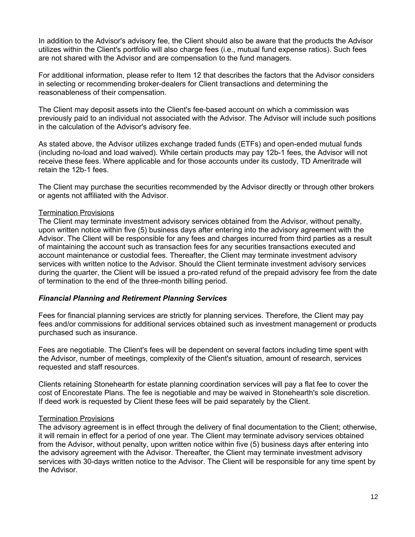In addition to the Advisor's advisory fee, the Client should also be aware that the products the Advisor utilizes within the Client's portfolio will also charge fees (i.e., mutual fund expense ratios). Such fees are not shared with the Advisor and are compensation to the fund managers.

For additional information, please refer to Item 12 that describes the factors that the Advisor considers in selecting or recommending broker-dealers for Client transactions and determining the reasonableness of their compensation.

The Client may deposit assets into the Client's fee-based account on which a commission was previously paid to an individual not associated with the Advisor. The Advisor will include such positions in the calculation of the Advisor's advisory fee.

As stated above, the Advisor utilizes exchange traded funds (ETFs) and open-ended mutual funds (including no-load and load waived). While certain products may pay 12b-1 fees, the Advisor will not receive these fees. Where applicable and for those accounts under its custody, TD Ameritrade will retain the 12b-1 fees.

The Client may purchase the securities recommended by the Advisor directly or through other brokers or agents not affiliated with the Advisor.

### Termination Provisions

The Client may terminate investment advisory services obtained from the Advisor, without penalty, upon written notice within five (5) business days after entering into the advisory agreement with the Advisor. The Client will be responsible for any fees and charges incurred from third parties as a result of maintaining the account such as transaction fees for any securities transactions executed and account maintenance or custodial fees. Thereafter, the Client may terminate investment advisory services with written notice to the Advisor. Should the Client terminate investment advisory services during the quarter, the Client will be issued a pro-rated refund of the prepaid advisory fee from the date of termination to the end of the three-month billing period.

#### *Financial Planning and Retirement Planning Services*

Fees for financial planning services are strictly for planning services. Therefore, the Client may pay fees and/or commissions for additional services obtained such as investment management or products purchased such as insurance.

Fees are negotiable. The Client's fees will be dependent on several factors including time spent with the Advisor, number of meetings, complexity of the Client's situation, amount of research, services requested and staff resources.

Clients retaining Stonehearth for estate planning coordination services will pay a flat fee to cover the cost of Encorestate Plans. The fee is negotiable and may be waived in Stonehearth's sole discretion. If deed work is requested by Client these fees will be paid separately by the Client.

#### Termination Provisions

The advisory agreement is in effect through the delivery of final documentation to the Client; otherwise, it will remain in effect for a period of one year. The Client may terminate advisory services obtained from the Advisor, without penalty, upon written notice within five (5) business days after entering into the advisory agreement with the Advisor. Thereafter, the Client may terminate investment advisory services with 30-days written notice to the Advisor. The Client will be responsible for any time spent by the Advisor.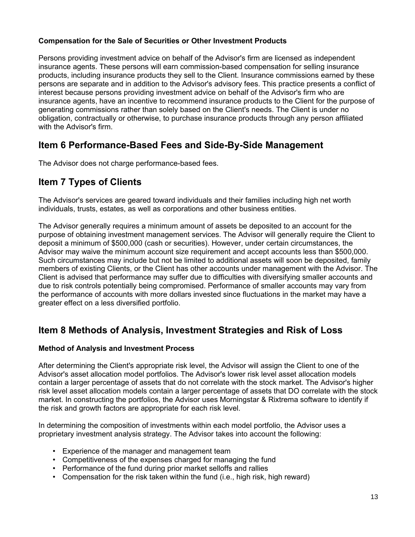### **Compensation for the Sale of Securities or Other Investment Products**

Persons providing investment advice on behalf of the Advisor's firm are licensed as independent insurance agents. These persons will earn commission-based compensation for selling insurance products, including insurance products they sell to the Client. Insurance commissions earned by these persons are separate and in addition to the Advisor's advisory fees. This practice presents a conflict of interest because persons providing investment advice on behalf of the Advisor's firm who are insurance agents, have an incentive to recommend insurance products to the Client for the purpose of generating commissions rather than solely based on the Client's needs. The Client is under no obligation, contractually or otherwise, to purchase insurance products through any person affiliated with the Advisor's firm.

## **Item 6 Performance-Based Fees and Side-By-Side Management**

The Advisor does not charge performance-based fees.

## **Item 7 Types of Clients**

The Advisor's services are geared toward individuals and their families including high net worth individuals, trusts, estates, as well as corporations and other business entities.

The Advisor generally requires a minimum amount of assets be deposited to an account for the purpose of obtaining investment management services. The Advisor will generally require the Client to deposit a minimum of \$500,000 (cash or securities). However, under certain circumstances, the Advisor may waive the minimum account size requirement and accept accounts less than \$500,000. Such circumstances may include but not be limited to additional assets will soon be deposited, family members of existing Clients, or the Client has other accounts under management with the Advisor. The Client is advised that performance may suffer due to difficulties with diversifying smaller accounts and due to risk controls potentially being compromised. Performance of smaller accounts may vary from the performance of accounts with more dollars invested since fluctuations in the market may have a greater effect on a less diversified portfolio.

## **Item 8 Methods of Analysis, Investment Strategies and Risk of Loss**

### **Method of Analysis and Investment Process**

After determining the Client's appropriate risk level, the Advisor will assign the Client to one of the Advisor's asset allocation model portfolios. The Advisor's lower risk level asset allocation models contain a larger percentage of assets that do not correlate with the stock market. The Advisor's higher risk level asset allocation models contain a larger percentage of assets that DO correlate with the stock market. In constructing the portfolios, the Advisor uses Morningstar & Rixtrema software to identify if the risk and growth factors are appropriate for each risk level.

In determining the composition of investments within each model portfolio, the Advisor uses a proprietary investment analysis strategy. The Advisor takes into account the following:

- Experience of the manager and management team
- Competitiveness of the expenses charged for managing the fund
- Performance of the fund during prior market selloffs and rallies
- Compensation for the risk taken within the fund (i.e., high risk, high reward)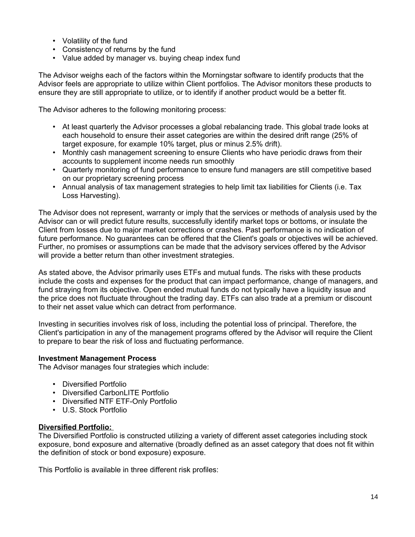- Volatility of the fund
- Consistency of returns by the fund
- Value added by manager vs. buying cheap index fund

The Advisor weighs each of the factors within the Morningstar software to identify products that the Advisor feels are appropriate to utilize within Client portfolios. The Advisor monitors these products to ensure they are still appropriate to utilize, or to identify if another product would be a better fit.

The Advisor adheres to the following monitoring process:

- At least quarterly the Advisor processes a global rebalancing trade. This global trade looks at each household to ensure their asset categories are within the desired drift range (25% of target exposure, for example 10% target, plus or minus 2.5% drift).
- Monthly cash management screening to ensure Clients who have periodic draws from their accounts to supplement income needs run smoothly
- Quarterly monitoring of fund performance to ensure fund managers are still competitive based on our proprietary screening process
- Annual analysis of tax management strategies to help limit tax liabilities for Clients (i.e. Tax Loss Harvesting).

The Advisor does not represent, warranty or imply that the services or methods of analysis used by the Advisor can or will predict future results, successfully identify market tops or bottoms, or insulate the Client from losses due to major market corrections or crashes. Past performance is no indication of future performance. No guarantees can be offered that the Client's goals or objectives will be achieved. Further, no promises or assumptions can be made that the advisory services offered by the Advisor will provide a better return than other investment strategies.

As stated above, the Advisor primarily uses ETFs and mutual funds. The risks with these products include the costs and expenses for the product that can impact performance, change of managers, and fund straying from its objective. Open ended mutual funds do not typically have a liquidity issue and the price does not fluctuate throughout the trading day. ETFs can also trade at a premium or discount to their net asset value which can detract from performance.

Investing in securities involves risk of loss, including the potential loss of principal. Therefore, the Client's participation in any of the management programs offered by the Advisor will require the Client to prepare to bear the risk of loss and fluctuating performance.

### **Investment Management Process**

The Advisor manages four strategies which include:

- Diversified Portfolio
- Diversified CarbonLITE Portfolio
- Diversified NTF ETF-Only Portfolio
- U.S. Stock Portfolio

#### **Diversified Portfolio:**

The Diversified Portfolio is constructed utilizing a variety of different asset categories including stock exposure, bond exposure and alternative (broadly defined as an asset category that does not fit within the definition of stock or bond exposure) exposure.

This Portfolio is available in three different risk profiles: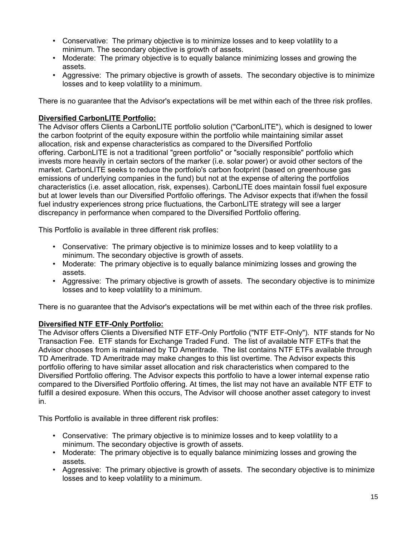- Conservative: The primary objective is to minimize losses and to keep volatility to a minimum. The secondary objective is growth of assets.
- Moderate: The primary objective is to equally balance minimizing losses and growing the assets.
- Aggressive: The primary objective is growth of assets. The secondary objective is to minimize losses and to keep volatility to a minimum.

There is no guarantee that the Advisor's expectations will be met within each of the three risk profiles.

### **Diversified CarbonLITE Portfolio:**

The Advisor offers Clients a CarbonLITE portfolio solution ("CarbonLITE"), which is designed to lower the carbon footprint of the equity exposure within the portfolio while maintaining similar asset allocation, risk and expense characteristics as compared to the Diversified Portfolio offering. CarbonLITE is not a traditional "green portfolio" or "socially responsible" portfolio which invests more heavily in certain sectors of the marker (i.e. solar power) or avoid other sectors of the market. CarbonLITE seeks to reduce the portfolio's carbon footprint (based on greenhouse gas emissions of underlying companies in the fund) but not at the expense of altering the portfolios characteristics (i.e. asset allocation, risk, expenses). CarbonLITE does maintain fossil fuel exposure but at lower levels than our Diversified Portfolio offerings. The Advisor expects that if/when the fossil fuel industry experiences strong price fluctuations, the CarbonLITE strategy will see a larger discrepancy in performance when compared to the Diversified Portfolio offering.

This Portfolio is available in three different risk profiles:

- Conservative: The primary objective is to minimize losses and to keep volatility to a minimum. The secondary objective is growth of assets.
- Moderate: The primary objective is to equally balance minimizing losses and growing the assets.
- Aggressive: The primary objective is growth of assets. The secondary objective is to minimize losses and to keep volatility to a minimum.

There is no guarantee that the Advisor's expectations will be met within each of the three risk profiles.

### **Diversified NTF ETF-Only Portfolio:**

The Advisor offers Clients a Diversified NTF ETF-Only Portfolio ("NTF ETF-Only"). NTF stands for No Transaction Fee. ETF stands for Exchange Traded Fund. The list of available NTF ETFs that the Advisor chooses from is maintained by TD Ameritrade. The list contains NTF ETFs available through TD Ameritrade. TD Ameritrade may make changes to this list overtime. The Advisor expects this portfolio offering to have similar asset allocation and risk characteristics when compared to the Diversified Portfolio offering. The Advisor expects this portfolio to have a lower internal expense ratio compared to the Diversified Portfolio offering. At times, the list may not have an available NTF ETF to fulfill a desired exposure. When this occurs, The Advisor will choose another asset category to invest in.

This Portfolio is available in three different risk profiles:

- Conservative: The primary objective is to minimize losses and to keep volatility to a minimum. The secondary objective is growth of assets.
- Moderate: The primary objective is to equally balance minimizing losses and growing the assets.
- Aggressive: The primary objective is growth of assets. The secondary objective is to minimize losses and to keep volatility to a minimum.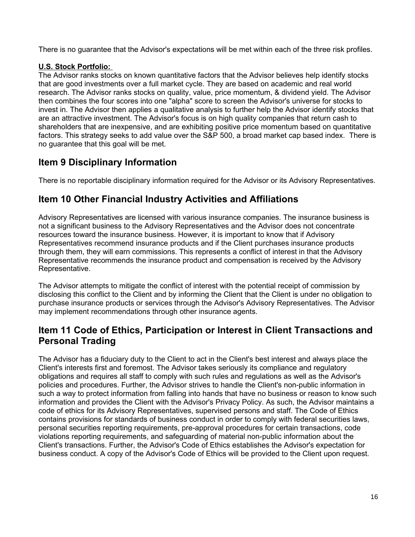There is no guarantee that the Advisor's expectations will be met within each of the three risk profiles.

### **U.S. Stock Portfolio:**

The Advisor ranks stocks on known quantitative factors that the Advisor believes help identify stocks that are good investments over a full market cycle. They are based on academic and real world research. The Advisor ranks stocks on quality, value, price momentum, & dividend yield. The Advisor then combines the four scores into one "alpha" score to screen the Advisor's universe for stocks to invest in. The Advisor then applies a qualitative analysis to further help the Advisor identify stocks that are an attractive investment. The Advisor's focus is on high quality companies that return cash to shareholders that are inexpensive, and are exhibiting positive price momentum based on quantitative factors. This strategy seeks to add value over the S&P 500, a broad market cap based index. There is no guarantee that this goal will be met.

## **Item 9 Disciplinary Information**

There is no reportable disciplinary information required for the Advisor or its Advisory Representatives.

## **Item 10 Other Financial Industry Activities and Affiliations**

Advisory Representatives are licensed with various insurance companies. The insurance business is not a significant business to the Advisory Representatives and the Advisor does not concentrate resources toward the insurance business. However, it is important to know that if Advisory Representatives recommend insurance products and if the Client purchases insurance products through them, they will earn commissions. This represents a conflict of interest in that the Advisory Representative recommends the insurance product and compensation is received by the Advisory Representative.

The Advisor attempts to mitigate the conflict of interest with the potential receipt of commission by disclosing this conflict to the Client and by informing the Client that the Client is under no obligation to purchase insurance products or services through the Advisor's Advisory Representatives. The Advisor may implement recommendations through other insurance agents.

## **Item 11 Code of Ethics, Participation or Interest in Client Transactions and Personal Trading**

The Advisor has a fiduciary duty to the Client to act in the Client's best interest and always place the Client's interests first and foremost. The Advisor takes seriously its compliance and regulatory obligations and requires all staff to comply with such rules and regulations as well as the Advisor's policies and procedures. Further, the Advisor strives to handle the Client's non-public information in such a way to protect information from falling into hands that have no business or reason to know such information and provides the Client with the Advisor's Privacy Policy. As such, the Advisor maintains a code of ethics for its Advisory Representatives, supervised persons and staff. The Code of Ethics contains provisions for standards of business conduct in order to comply with federal securities laws, personal securities reporting requirements, pre-approval procedures for certain transactions, code violations reporting requirements, and safeguarding of material non-public information about the Client's transactions. Further, the Advisor's Code of Ethics establishes the Advisor's expectation for business conduct. A copy of the Advisor's Code of Ethics will be provided to the Client upon request.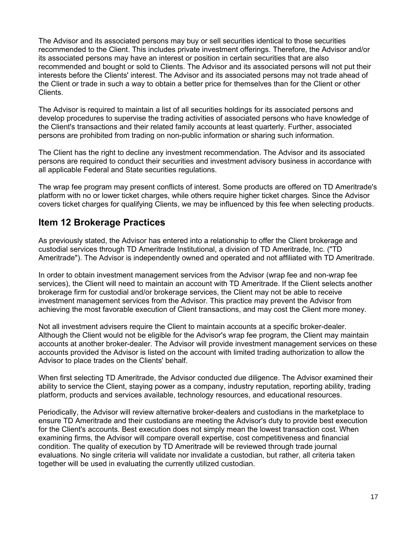The Advisor and its associated persons may buy or sell securities identical to those securities recommended to the Client. This includes private investment offerings. Therefore, the Advisor and/or its associated persons may have an interest or position in certain securities that are also recommended and bought or sold to Clients. The Advisor and its associated persons will not put their interests before the Clients' interest. The Advisor and its associated persons may not trade ahead of the Client or trade in such a way to obtain a better price for themselves than for the Client or other Clients.

The Advisor is required to maintain a list of all securities holdings for its associated persons and develop procedures to supervise the trading activities of associated persons who have knowledge of the Client's transactions and their related family accounts at least quarterly. Further, associated persons are prohibited from trading on non-public information or sharing such information.

The Client has the right to decline any investment recommendation. The Advisor and its associated persons are required to conduct their securities and investment advisory business in accordance with all applicable Federal and State securities regulations.

The wrap fee program may present conflicts of interest. Some products are offered on TD Ameritrade's platform with no or lower ticket charges, while others require higher ticket charges. Since the Advisor covers ticket charges for qualifying Clients, we may be influenced by this fee when selecting products.

## **Item 12 Brokerage Practices**

As previously stated, the Advisor has entered into a relationship to offer the Client brokerage and custodial services through TD Ameritrade Institutional, a division of TD Ameritrade, Inc. ("TD Ameritrade"). The Advisor is independently owned and operated and not affiliated with TD Ameritrade.

In order to obtain investment management services from the Advisor (wrap fee and non-wrap fee services), the Client will need to maintain an account with TD Ameritrade. If the Client selects another brokerage firm for custodial and/or brokerage services, the Client may not be able to receive investment management services from the Advisor. This practice may prevent the Advisor from achieving the most favorable execution of Client transactions, and may cost the Client more money.

Not all investment advisers require the Client to maintain accounts at a specific broker-dealer. Although the Client would not be eligible for the Advisor's wrap fee program, the Client may maintain accounts at another broker-dealer. The Advisor will provide investment management services on these accounts provided the Advisor is listed on the account with limited trading authorization to allow the Advisor to place trades on the Clients' behalf.

When first selecting TD Ameritrade, the Advisor conducted due diligence. The Advisor examined their ability to service the Client, staying power as a company, industry reputation, reporting ability, trading platform, products and services available, technology resources, and educational resources.

Periodically, the Advisor will review alternative broker-dealers and custodians in the marketplace to ensure TD Ameritrade and their custodians are meeting the Advisor's duty to provide best execution for the Client's accounts. Best execution does not simply mean the lowest transaction cost. When examining firms, the Advisor will compare overall expertise, cost competitiveness and financial condition. The quality of execution by TD Ameritrade will be reviewed through trade journal evaluations. No single criteria will validate nor invalidate a custodian, but rather, all criteria taken together will be used in evaluating the currently utilized custodian.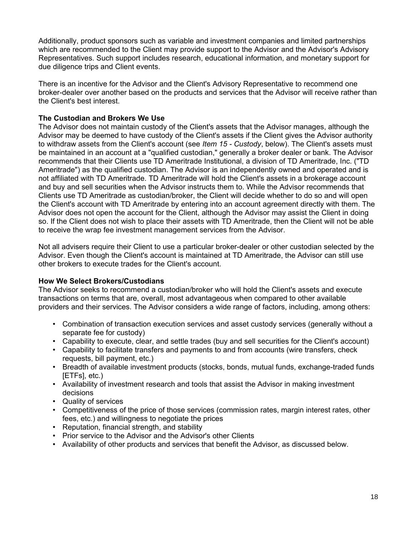Additionally, product sponsors such as variable and investment companies and limited partnerships which are recommended to the Client may provide support to the Advisor and the Advisor's Advisory Representatives. Such support includes research, educational information, and monetary support for due diligence trips and Client events.

There is an incentive for the Advisor and the Client's Advisory Representative to recommend one broker-dealer over another based on the products and services that the Advisor will receive rather than the Client's best interest.

### **The Custodian and Brokers We Use**

The Advisor does not maintain custody of the Client's assets that the Advisor manages, although the Advisor may be deemed to have custody of the Client's assets if the Client gives the Advisor authority to withdraw assets from the Client's account (see *Item 15 - Custody*, below). The Client's assets must be maintained in an account at a "qualified custodian," generally a broker dealer or bank. The Advisor recommends that their Clients use TD Ameritrade Institutional, a division of TD Ameritrade, Inc. ("TD Ameritrade") as the qualified custodian. The Advisor is an independently owned and operated and is not affiliated with TD Ameritrade. TD Ameritrade will hold the Client's assets in a brokerage account and buy and sell securities when the Advisor instructs them to. While the Advisor recommends that Clients use TD Ameritrade as custodian/broker, the Client will decide whether to do so and will open the Client's account with TD Ameritrade by entering into an account agreement directly with them. The Advisor does not open the account for the Client, although the Advisor may assist the Client in doing so. If the Client does not wish to place their assets with TD Ameritrade, then the Client will not be able to receive the wrap fee investment management services from the Advisor.

Not all advisers require their Client to use a particular broker-dealer or other custodian selected by the Advisor. Even though the Client's account is maintained at TD Ameritrade, the Advisor can still use other brokers to execute trades for the Client's account.

### **How We Select Brokers/Custodians**

The Advisor seeks to recommend a custodian/broker who will hold the Client's assets and execute transactions on terms that are, overall, most advantageous when compared to other available providers and their services. The Advisor considers a wide range of factors, including, among others:

- Combination of transaction execution services and asset custody services (generally without a separate fee for custody)
- Capability to execute, clear, and settle trades (buy and sell securities for the Client's account)
- Capability to facilitate transfers and payments to and from accounts (wire transfers, check requests, bill payment, etc.)
- Breadth of available investment products (stocks, bonds, mutual funds, exchange-traded funds [ETFs], etc.)
- Availability of investment research and tools that assist the Advisor in making investment decisions
- Quality of services
- Competitiveness of the price of those services (commission rates, margin interest rates, other fees, etc.) and willingness to negotiate the prices
- Reputation, financial strength, and stability
- Prior service to the Advisor and the Advisor's other Clients
- Availability of other products and services that benefit the Advisor, as discussed below.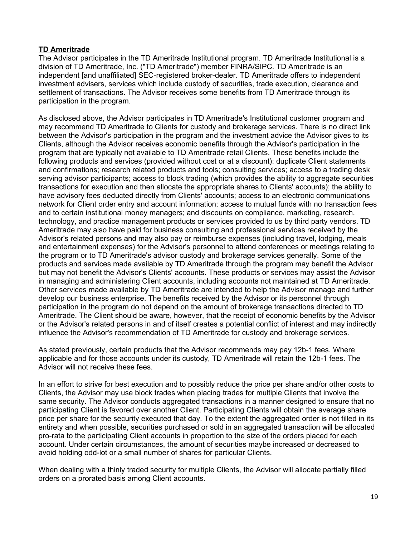### **TD Ameritrade**

The Advisor participates in the TD Ameritrade Institutional program. TD Ameritrade Institutional is a division of TD Ameritrade, Inc. ("TD Ameritrade") member FINRA/SIPC. TD Ameritrade is an independent [and unaffiliated] SEC-registered broker-dealer. TD Ameritrade offers to independent investment advisers, services which include custody of securities, trade execution, clearance and settlement of transactions. The Advisor receives some benefits from TD Ameritrade through its participation in the program.

As disclosed above, the Advisor participates in TD Ameritrade's Institutional customer program and may recommend TD Ameritrade to Clients for custody and brokerage services. There is no direct link between the Advisor's participation in the program and the investment advice the Advisor gives to its Clients, although the Advisor receives economic benefits through the Advisor's participation in the program that are typically not available to TD Ameritrade retail Clients. These benefits include the following products and services (provided without cost or at a discount): duplicate Client statements and confirmations; research related products and tools; consulting services; access to a trading desk serving advisor participants; access to block trading (which provides the ability to aggregate securities transactions for execution and then allocate the appropriate shares to Clients' accounts); the ability to have advisory fees deducted directly from Clients' accounts; access to an electronic communications network for Client order entry and account information; access to mutual funds with no transaction fees and to certain institutional money managers; and discounts on compliance, marketing, research, technology, and practice management products or services provided to us by third party vendors. TD Ameritrade may also have paid for business consulting and professional services received by the Advisor's related persons and may also pay or reimburse expenses (including travel, lodging, meals and entertainment expenses) for the Advisor's personnel to attend conferences or meetings relating to the program or to TD Ameritrade's advisor custody and brokerage services generally. Some of the products and services made available by TD Ameritrade through the program may benefit the Advisor but may not benefit the Advisor's Clients' accounts. These products or services may assist the Advisor in managing and administering Client accounts, including accounts not maintained at TD Ameritrade. Other services made available by TD Ameritrade are intended to help the Advisor manage and further develop our business enterprise. The benefits received by the Advisor or its personnel through participation in the program do not depend on the amount of brokerage transactions directed to TD Ameritrade. The Client should be aware, however, that the receipt of economic benefits by the Advisor or the Advisor's related persons in and of itself creates a potential conflict of interest and may indirectly influence the Advisor's recommendation of TD Ameritrade for custody and brokerage services.

As stated previously, certain products that the Advisor recommends may pay 12b-1 fees. Where applicable and for those accounts under its custody, TD Ameritrade will retain the 12b-1 fees. The Advisor will not receive these fees.

In an effort to strive for best execution and to possibly reduce the price per share and/or other costs to Clients, the Advisor may use block trades when placing trades for multiple Clients that involve the same security. The Advisor conducts aggregated transactions in a manner designed to ensure that no participating Client is favored over another Client. Participating Clients will obtain the average share price per share for the security executed that day. To the extent the aggregated order is not filled in its entirety and when possible, securities purchased or sold in an aggregated transaction will be allocated pro-rata to the participating Client accounts in proportion to the size of the orders placed for each account. Under certain circumstances, the amount of securities maybe increased or decreased to avoid holding odd-lot or a small number of shares for particular Clients.

When dealing with a thinly traded security for multiple Clients, the Advisor will allocate partially filled orders on a prorated basis among Client accounts.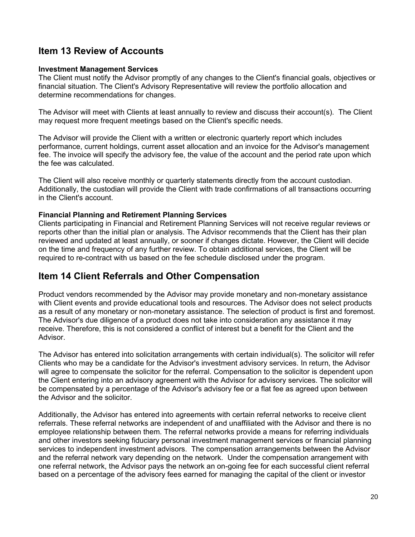## **Item 13 Review of Accounts**

#### **Investment Management Services**

The Client must notify the Advisor promptly of any changes to the Client's financial goals, objectives or financial situation. The Client's Advisory Representative will review the portfolio allocation and determine recommendations for changes.

The Advisor will meet with Clients at least annually to review and discuss their account(s). The Client may request more frequent meetings based on the Client's specific needs.

The Advisor will provide the Client with a written or electronic quarterly report which includes performance, current holdings, current asset allocation and an invoice for the Advisor's management fee. The invoice will specify the advisory fee, the value of the account and the period rate upon which the fee was calculated.

The Client will also receive monthly or quarterly statements directly from the account custodian. Additionally, the custodian will provide the Client with trade confirmations of all transactions occurring in the Client's account.

### **Financial Planning and Retirement Planning Services**

Clients participating in Financial and Retirement Planning Services will not receive regular reviews or reports other than the initial plan or analysis. The Advisor recommends that the Client has their plan reviewed and updated at least annually, or sooner if changes dictate. However, the Client will decide on the time and frequency of any further review. To obtain additional services, the Client will be required to re-contract with us based on the fee schedule disclosed under the program.

### **Item 14 Client Referrals and Other Compensation**

Product vendors recommended by the Advisor may provide monetary and non-monetary assistance with Client events and provide educational tools and resources. The Advisor does not select products as a result of any monetary or non-monetary assistance. The selection of product is first and foremost. The Advisor's due diligence of a product does not take into consideration any assistance it may receive. Therefore, this is not considered a conflict of interest but a benefit for the Client and the Advisor.

The Advisor has entered into solicitation arrangements with certain individual(s). The solicitor will refer Clients who may be a candidate for the Advisor's investment advisory services. In return, the Advisor will agree to compensate the solicitor for the referral. Compensation to the solicitor is dependent upon the Client entering into an advisory agreement with the Advisor for advisory services. The solicitor will be compensated by a percentage of the Advisor's advisory fee or a flat fee as agreed upon between the Advisor and the solicitor.

Additionally, the Advisor has entered into agreements with certain referral networks to receive client referrals. These referral networks are independent of and unaffiliated with the Advisor and there is no employee relationship between them. The referral networks provide a means for referring individuals and other investors seeking fiduciary personal investment management services or financial planning services to independent investment advisors. The compensation arrangements between the Advisor and the referral network vary depending on the network. Under the compensation arrangement with one referral network, the Advisor pays the network an on-going fee for each successful client referral based on a percentage of the advisory fees earned for managing the capital of the client or investor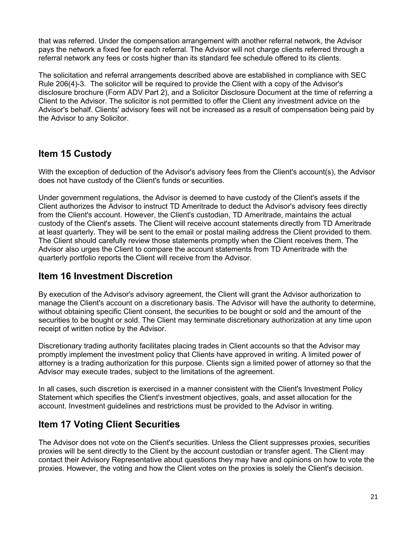that was referred. Under the compensation arrangement with another referral network, the Advisor pays the network a fixed fee for each referral. The Advisor will not charge clients referred through a referral network any fees or costs higher than its standard fee schedule offered to its clients.

The solicitation and referral arrangements described above are established in compliance with SEC Rule 206(4)-3. The solicitor will be required to provide the Client with a copy of the Advisor's disclosure brochure (Form ADV Part 2), and a Solicitor Disclosure Document at the time of referring a Client to the Advisor. The solicitor is not permitted to offer the Client any investment advice on the Advisor's behalf. Clients' advisory fees will not be increased as a result of compensation being paid by the Advisor to any Solicitor.

## **Item 15 Custody**

With the exception of deduction of the Advisor's advisory fees from the Client's account(s), the Advisor does not have custody of the Client's funds or securities.

Under government regulations, the Advisor is deemed to have custody of the Client's assets if the Client authorizes the Advisor to instruct TD Ameritrade to deduct the Advisor's advisory fees directly from the Client's account. However, the Client's custodian, TD Ameritrade, maintains the actual custody of the Client's assets. The Client will receive account statements directly from TD Ameritrade at least quarterly. They will be sent to the email or postal mailing address the Client provided to them. The Client should carefully review those statements promptly when the Client receives them. The Advisor also urges the Client to compare the account statements from TD Ameritrade with the quarterly portfolio reports the Client will receive from the Advisor.

## **Item 16 Investment Discretion**

By execution of the Advisor's advisory agreement, the Client will grant the Advisor authorization to manage the Client's account on a discretionary basis. The Advisor will have the authority to determine, without obtaining specific Client consent, the securities to be bought or sold and the amount of the securities to be bought or sold. The Client may terminate discretionary authorization at any time upon receipt of written notice by the Advisor.

Discretionary trading authority facilitates placing trades in Client accounts so that the Advisor may promptly implement the investment policy that Clients have approved in writing. A limited power of attorney is a trading authorization for this purpose. Clients sign a limited power of attorney so that the Advisor may execute trades, subject to the limitations of the agreement.

In all cases, such discretion is exercised in a manner consistent with the Client's Investment Policy Statement which specifies the Client's investment objectives, goals, and asset allocation for the account. Investment guidelines and restrictions must be provided to the Advisor in writing.

## **Item 17 Voting Client Securities**

The Advisor does not vote on the Client's securities. Unless the Client suppresses proxies, securities proxies will be sent directly to the Client by the account custodian or transfer agent. The Client may contact their Advisory Representative about questions they may have and opinions on how to vote the proxies. However, the voting and how the Client votes on the proxies is solely the Client's decision.